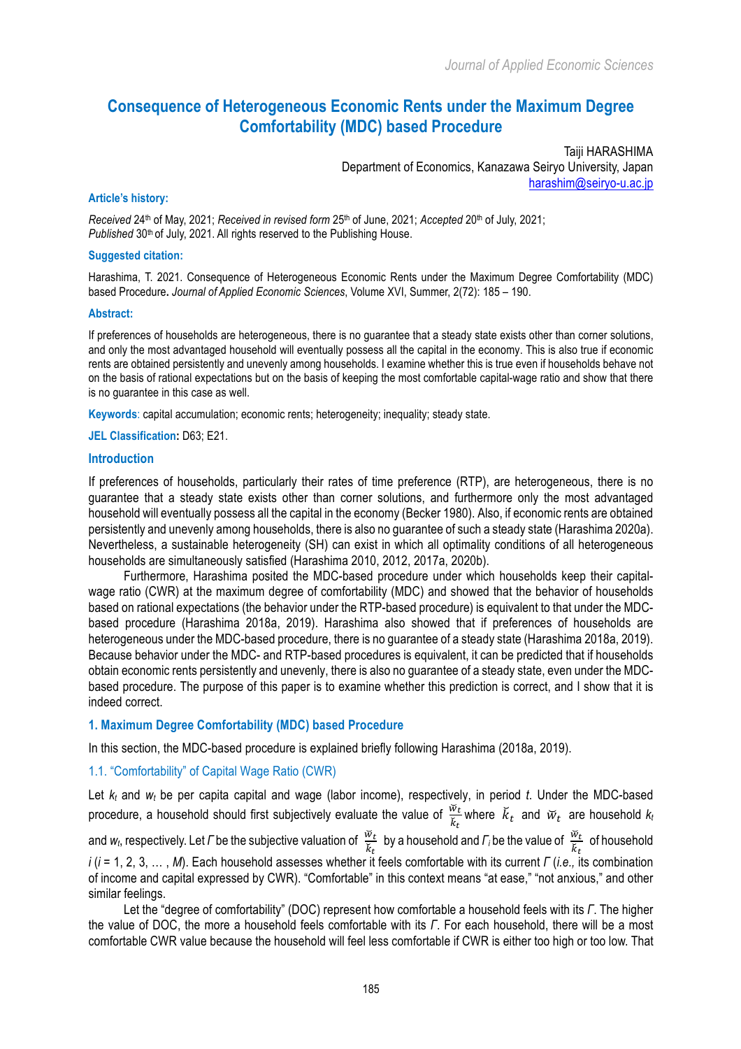# **Consequence of Heterogeneous Economic Rents under the Maximum Degree Comfortability (MDC) based Procedure**

Taiji HARASHIMA Department of Economics, Kanazawa Seiryo University, Japan harashim@seiryo-u.ac.jp

#### **Article's history:**

*Received* 24th of May, 2021; *Received in revised form* 25th of June, 2021; *Accepted* 20th of July, 2021; *Published* 30th of July, 2021. All rights reserved to the Publishing House.

#### **Suggested citation:**

Harashima, T. 2021. Consequence of Heterogeneous Economic Rents under the Maximum Degree Comfortability (MDC) based Procedure**.** *Journal of Applied Economic Sciences*, Volume XVI, Summer, 2(72): 185 – 190.

#### **Abstract:**

If preferences of households are heterogeneous, there is no guarantee that a steady state exists other than corner solutions, and only the most advantaged household will eventually possess all the capital in the economy. This is also true if economic rents are obtained persistently and unevenly among households. I examine whether this is true even if households behave not on the basis of rational expectations but on the basis of keeping the most comfortable capital-wage ratio and show that there is no guarantee in this case as well.

**Keywords**: capital accumulation; economic rents; heterogeneity; inequality; steady state.

#### **JEL Classification:** D63; E21.

#### **Introduction**

If preferences of households, particularly their rates of time preference (RTP), are heterogeneous, there is no guarantee that a steady state exists other than corner solutions, and furthermore only the most advantaged household will eventually possess all the capital in the economy (Becker 1980). Also, if economic rents are obtained persistently and unevenly among households, there is also no guarantee of such a steady state (Harashima 2020a). Nevertheless, a sustainable heterogeneity (SH) can exist in which all optimality conditions of all heterogeneous households are simultaneously satisfied (Harashima 2010, 2012, 2017a, 2020b).

Furthermore, Harashima posited the MDC-based procedure under which households keep their capitalwage ratio (CWR) at the maximum degree of comfortability (MDC) and showed that the behavior of households based on rational expectations (the behavior under the RTP-based procedure) is equivalent to that under the MDCbased procedure (Harashima 2018a, 2019). Harashima also showed that if preferences of households are heterogeneous under the MDC-based procedure, there is no guarantee of a steady state (Harashima 2018a, 2019). Because behavior under the MDC- and RTP-based procedures is equivalent, it can be predicted that if households obtain economic rents persistently and unevenly, there is also no guarantee of a steady state, even under the MDCbased procedure. The purpose of this paper is to examine whether this prediction is correct, and I show that it is indeed correct.

#### **1. Maximum Degree Comfortability (MDC) based Procedure**

In this section, the MDC-based procedure is explained briefly following Harashima (2018a, 2019).

# 1.1. "Comfortability" of Capital Wage Ratio (CWR)

Let *kt* and *wt* be per capita capital and wage (labor income), respectively, in period *t*. Under the MDC-based procedure, a household should first subjectively evaluate the value of  $\frac{\breve{w}_t}{\breve{k}_t}$  where  $\breve{k}_t$  and  $\breve{w}_t$  are household  $k_t$ and  $w_t$ , respectively. Let *Γ* be the subjective valuation of  $\frac{\breve{w}_t}{\breve{k}_t}$  by a household and *Γ*<sub>*i*</sub> be the value of  $\frac{\breve{w}_t}{\breve{k}_t}$  of household *i* (*i* = 1, 2, 3, … , *M*). Each household assesses whether it feels comfortable with its current *Γ* (*i.e.,* its combination of income and capital expressed by CWR). "Comfortable" in this context means "at ease," "not anxious," and other similar feelings.

Let the "degree of comfortability" (DOC) represent how comfortable a household feels with its *Γ*. The higher the value of DOC, the more a household feels comfortable with its *Γ*. For each household, there will be a most comfortable CWR value because the household will feel less comfortable if CWR is either too high or too low. That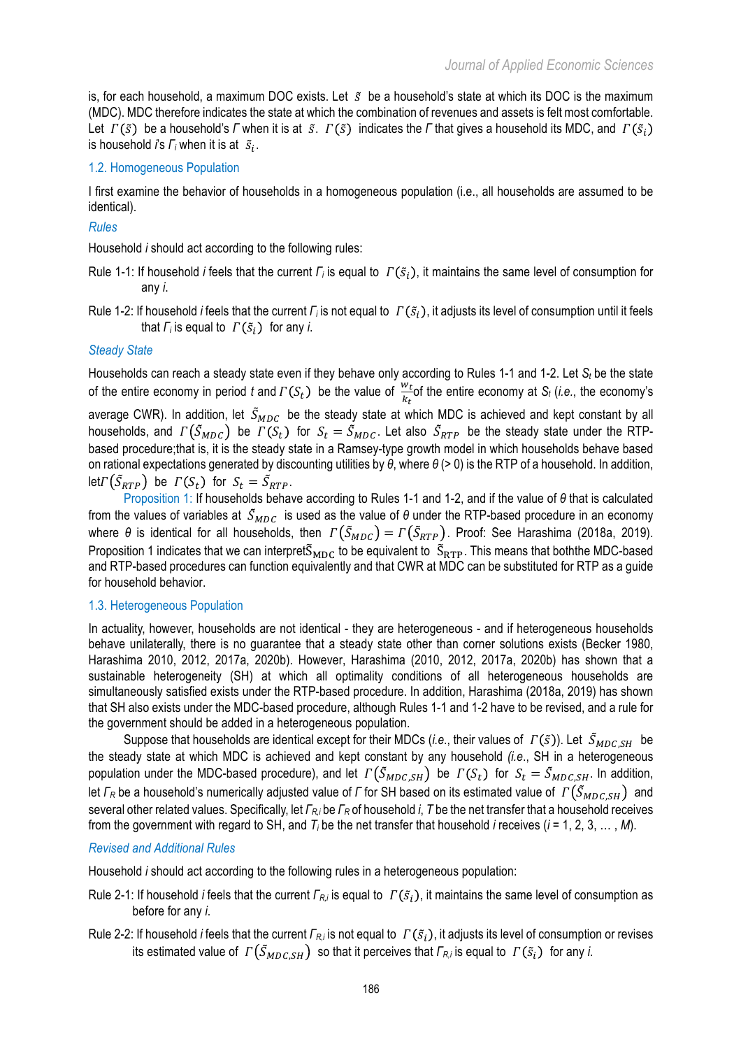is, for each household, a maximum DOC exists. Let  $\tilde{s}$  be a household's state at which its DOC is the maximum (MDC). MDC therefore indicates the state at which the combination of revenues and assets is felt most comfortable. Let  $\Gamma(\tilde{s})$  be a household's *Γ* when it is at  $\tilde{s}$ .  $\Gamma(\tilde{s})$  indicates the *Γ* that gives a household its MDC, and  $\Gamma(\tilde{s}_i)$ is household  $\overline{i}$ 's  $\overline{F_i}$  when it is at  $\overline{s_i}$ .

# 1.2. Homogeneous Population

I first examine the behavior of households in a homogeneous population (i.e., all households are assumed to be identical).

### *Rules*

Household *i* should act according to the following rules:

- Rule 1-1: If household *i* feels that the current *Γ<sub>i</sub>* is equal to *Γ*( $\tilde{s}$ <sub>i</sub>), it maintains the same level of consumption for any *i*.
- Rule 1-2: If household *i* feels that the current *Γ*<sub>*i*</sub> is not equal to  $\Gamma(\tilde{s}_i)$ , it adjusts its level of consumption until it feels that  $\Gamma_i$  is equal to  $\Gamma(\tilde{s}_i)$  for any *i*.

### *Steady State*

Households can reach a steady state even if they behave only according to Rules 1-1 and 1-2. Let *St* be the state of the entire economy in period *t* and  $\Gamma(S_t)$  be the value of  $\frac{w_t}{k_t}$  of the entire economy at  $S_t$  (*i.e.*, the economy's average CWR). In addition, let  $\tilde{S}_{MDC}$  be the steady state at which MDC is achieved and kept constant by all households, and  $\Gamma(\tilde{S}_{MDC})$  be  $\Gamma(S_t)$  for  $S_t = \tilde{S}_{MDC}$ . Let also  $\tilde{S}_{RTP}$  be the steady state under the RTPbased procedure;that is, it is the steady state in a Ramsey-type growth model in which households behave based on rational expectations generated by discounting utilities by *θ*, where *θ* (> 0) is the RTP of a household. In addition, let  $\Gamma(\tilde{S}_{RTP})$  be  $\Gamma(S_t)$  for  $S_t = \tilde{S}_{RTP}$ .

Proposition 1: If households behave according to Rules 1-1 and 1-2, and if the value of *θ* that is calculated from the values of variables at  $\tilde{S}_{MDC}$  is used as the value of  $\theta$  under the RTP-based procedure in an economy where  $\theta$  is identical for all households, then  $\Gamma(\tilde{S}_{MDC}) = \Gamma(\tilde{S}_{RTP})$ . Proof: See Harashima (2018a, 2019). Proposition 1 indicates that we can interpret $\tilde{S}_{MDC}$  to be equivalent to  $\tilde{S}_{RTP}$ . This means that boththe MDC-based and RTP-based procedures can function equivalently and that CWR at MDC can be substituted for RTP as a guide for household behavior.

### 1.3. Heterogeneous Population

In actuality, however, households are not identical - they are heterogeneous - and if heterogeneous households behave unilaterally, there is no guarantee that a steady state other than corner solutions exists (Becker 1980, Harashima 2010, 2012, 2017a, 2020b). However, Harashima (2010, 2012, 2017a, 2020b) has shown that a sustainable heterogeneity (SH) at which all optimality conditions of all heterogeneous households are simultaneously satisfied exists under the RTP-based procedure. In addition, Harashima (2018a, 2019) has shown that SH also exists under the MDC-based procedure, although Rules 1-1 and 1-2 have to be revised, and a rule for the government should be added in a heterogeneous population.

Suppose that households are identical except for their MDCs (*i.e.*, their values of  $\Gamma(\tilde{s})$ ). Let  $\tilde{S}_{MDC,SH}$  be the steady state at which MDC is achieved and kept constant by any household *(i.e*., SH in a heterogeneous population under the MDC-based procedure), and let  $\Gamma(\tilde{S}_{MDC,SH})$  be  $\Gamma(S_t)$  for  $S_t = \tilde{S}_{MDC,SH}$ . In addition, let *Γ*<sub>*R*</sub> be a household's numerically adjusted value of *Γ* for SH based on its estimated value of  $\Gamma(\tilde{S}_{MDC,SH})$  and several other related values. Specifically, let *ΓR,i* be *Γ<sup>R</sup>* of household *i*, *T* be the net transfer that a household receives from the government with regard to SH, and *Ti* be the net transfer that household *i* receives (*i* = 1, 2, 3, … , *M*).

### *Revised and Additional Rules*

Household *i* should act according to the following rules in a heterogeneous population:

- Rule 2-1: If household *i* feels that the current *Γ<sub>Ri</sub>* is equal to *Γ*( $\tilde{s}_i$ ), it maintains the same level of consumption as before for any *i*.
- Rule 2-2: If household *i* feels that the current *Γ<sub>Ri</sub>* is not equal to *Γ*( $\tilde{s}_i$ ), it adjusts its level of consumption or revises its estimated value of  $\Gamma(\tilde{S}_{MDC,SH})$  so that it perceives that  $\Gamma_{R,i}$  is equal to  $\Gamma(\tilde{S}_i)$  for any *i*.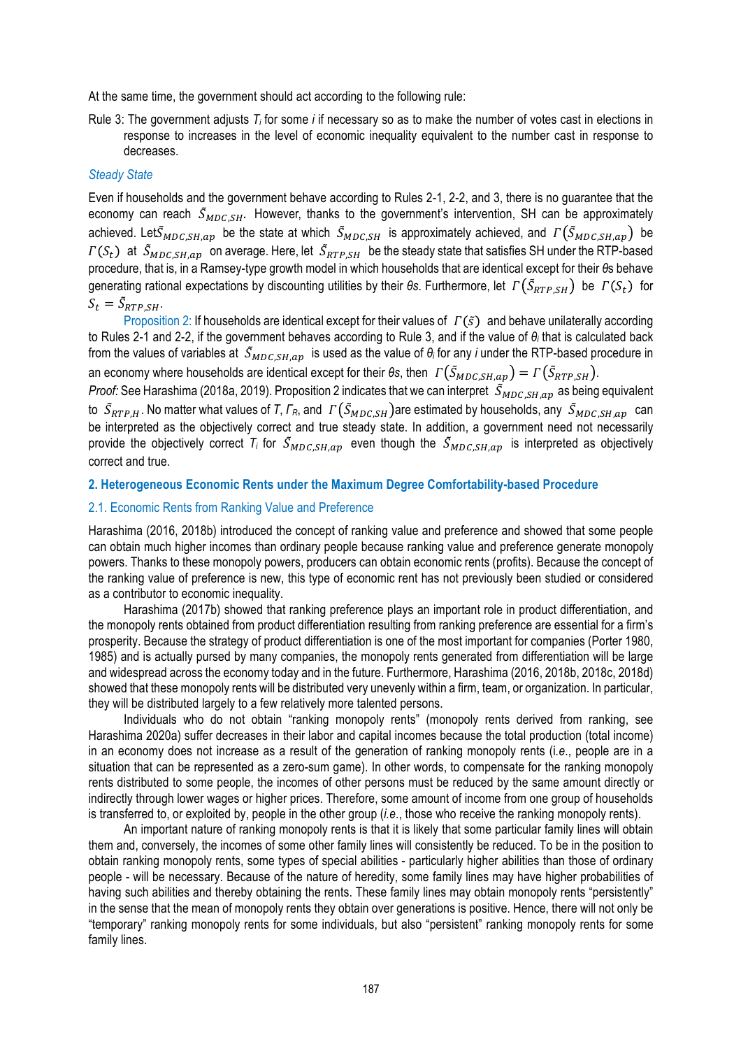At the same time, the government should act according to the following rule:

Rule 3: The government adjusts *Ti* for some *i* if necessary so as to make the number of votes cast in elections in response to increases in the level of economic inequality equivalent to the number cast in response to decreases.

# *Steady State*

Even if households and the government behave according to Rules 2-1, 2-2, and 3, there is no guarantee that the economy can reach  $\tilde{S}_{MDCSH}$ . However, thanks to the government's intervention, SH can be approximately achieved. Let $\tilde{S}_{MDC,SH,ap}$  be the state at which  $\tilde{S}_{MDC,SH}$  is approximately achieved, and  $\Gamma(\tilde{S}_{MDC,SH,ap})$  be  $\Gamma(S_t)$  at  $\tilde{S}_{MDC,SH,ap}$  on average. Here, let  $\tilde{S}_{RTP,SH}$  be the steady state that satisfies SH under the RTP-based procedure, that is, in a Ramsey-type growth model in which households that are identical except for their *θ*s behave generating rational expectations by discounting utilities by their  $\theta$ *s*. Furthermore, let  $\Gamma(\tilde{S}_{RTP,SH})$  be  $\Gamma(S_t)$  for  $S_t = \tilde{S}_{RTP,SH}.$ 

Proposition 2: If households are identical except for their values of  $\Gamma(\tilde{s})$  and behave unilaterally according to Rules 2-1 and 2-2, if the government behaves according to Rule 3, and if the value of *θ<sup>i</sup>* that is calculated back from the values of variables at  $\tilde{S}_{MDC,SH,ap}$  is used as the value of  $\theta_i$  for any *i* under the RTP-based procedure in an economy where households are identical except for their  $\theta$ *s*, then  $\Gamma(\tilde{S}_{MDC,SH,ap}) = \Gamma(\tilde{S}_{RTP,SH})$ .

*Proof:* See Harashima (2018a, 2019). Proposition 2 indicates that we can interpret  $S_{MDC,SH,ap}$  as being equivalent to  $S_{RTP,H}$ . No matter what values of *T*,  $\Gamma_R$ , and  $\Gamma(S_{MDC,SH})$  are estimated by households, any  $S_{MDC,SH,ap}$  can be interpreted as the objectively correct and true steady state. In addition, a government need not necessarily provide the objectively correct  $T_i$  for  $\tilde{S}_{MDC,SH,an}$  even though the  $\tilde{S}_{MDC,SH,an}$  is interpreted as objectively correct and true.

### **2. Heterogeneous Economic Rents under the Maximum Degree Comfortability-based Procedure**

# 2.1. Economic Rents from Ranking Value and Preference

Harashima (2016, 2018b) introduced the concept of ranking value and preference and showed that some people can obtain much higher incomes than ordinary people because ranking value and preference generate monopoly powers. Thanks to these monopoly powers, producers can obtain economic rents (profits). Because the concept of the ranking value of preference is new, this type of economic rent has not previously been studied or considered as a contributor to economic inequality.

Harashima (2017b) showed that ranking preference plays an important role in product differentiation, and the monopoly rents obtained from product differentiation resulting from ranking preference are essential for a firm's prosperity. Because the strategy of product differentiation is one of the most important for companies (Porter 1980, 1985) and is actually pursed by many companies, the monopoly rents generated from differentiation will be large and widespread across the economy today and in the future. Furthermore, Harashima (2016, 2018b, 2018c, 2018d) showed that these monopoly rents will be distributed very unevenly within a firm, team, or organization. In particular, they will be distributed largely to a few relatively more talented persons.

Individuals who do not obtain "ranking monopoly rents" (monopoly rents derived from ranking, see Harashima 2020a) suffer decreases in their labor and capital incomes because the total production (total income) in an economy does not increase as a result of the generation of ranking monopoly rents (i*.e*., people are in a situation that can be represented as a zero-sum game). In other words, to compensate for the ranking monopoly rents distributed to some people, the incomes of other persons must be reduced by the same amount directly or indirectly through lower wages or higher prices. Therefore, some amount of income from one group of households is transferred to, or exploited by, people in the other group (*i.e*., those who receive the ranking monopoly rents).

An important nature of ranking monopoly rents is that it is likely that some particular family lines will obtain them and, conversely, the incomes of some other family lines will consistently be reduced. To be in the position to obtain ranking monopoly rents, some types of special abilities - particularly higher abilities than those of ordinary people - will be necessary. Because of the nature of heredity, some family lines may have higher probabilities of having such abilities and thereby obtaining the rents. These family lines may obtain monopoly rents "persistently" in the sense that the mean of monopoly rents they obtain over generations is positive. Hence, there will not only be "temporary" ranking monopoly rents for some individuals, but also "persistent" ranking monopoly rents for some family lines.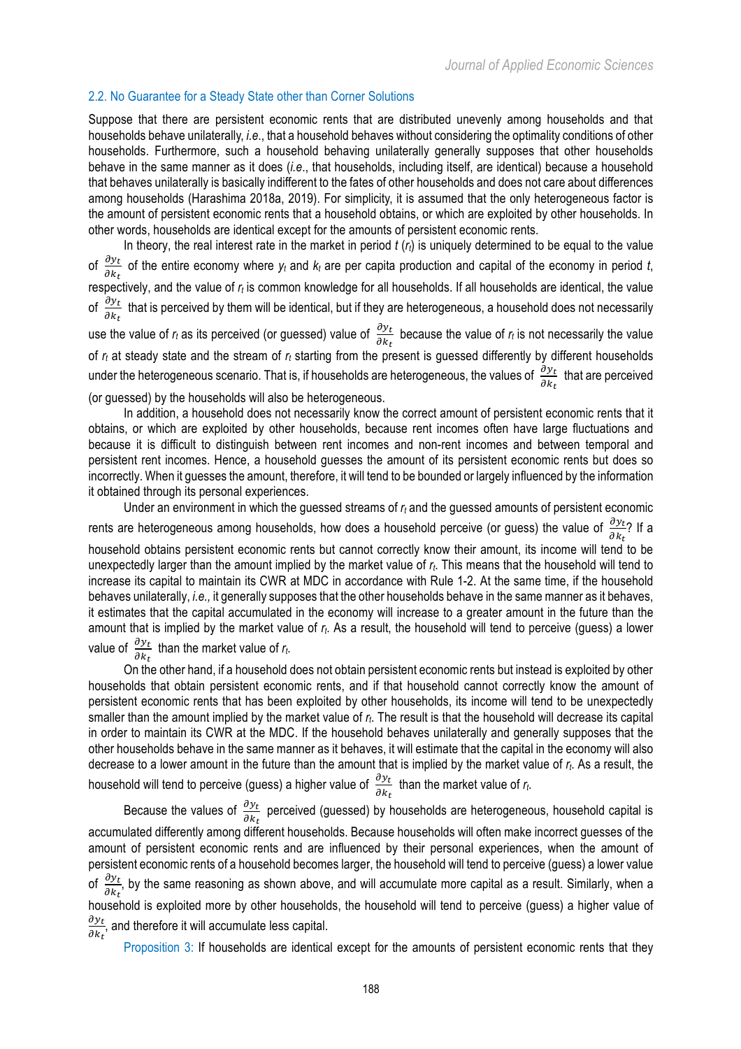# 2.2. No Guarantee for a Steady State other than Corner Solutions

Suppose that there are persistent economic rents that are distributed unevenly among households and that households behave unilaterally, *i.e*., that a household behaves without considering the optimality conditions of other households. Furthermore, such a household behaving unilaterally generally supposes that other households behave in the same manner as it does (*i.e*., that households, including itself, are identical) because a household that behaves unilaterally is basically indifferent to the fates of other households and does not care about differences among households (Harashima 2018a, 2019). For simplicity, it is assumed that the only heterogeneous factor is the amount of persistent economic rents that a household obtains, or which are exploited by other households. In other words, households are identical except for the amounts of persistent economic rents.

In theory, the real interest rate in the market in period *t* (*rt*) is uniquely determined to be equal to the value of  $\frac{\partial y_t}{\partial k_t}$  of the entire economy where  $y_t$  and  $k_t$  are per capita production and capital of the economy in period *t*, respectively, and the value of *rt* is common knowledge for all households. If all households are identical, the value of  $\frac{\partial y_t}{\partial k_t}$  that is perceived by them will be identical, but if they are heterogeneous, a household does not necessarily use the value of  $r_t$  as its perceived (or guessed) value of  $\frac{\partial y_t}{\partial k_t}$  because the value of  $r_t$  is not necessarily the value of *rt* at steady state and the stream of *rt* starting from the present is guessed differently by different households under the heterogeneous scenario. That is, if households are heterogeneous, the values of  $\frac{\partial y_t}{\partial k_t}$  that are perceived (or guessed) by the households will also be heterogeneous.

In addition, a household does not necessarily know the correct amount of persistent economic rents that it obtains, or which are exploited by other households, because rent incomes often have large fluctuations and because it is difficult to distinguish between rent incomes and non-rent incomes and between temporal and persistent rent incomes. Hence, a household guesses the amount of its persistent economic rents but does so incorrectly. When it guesses the amount, therefore, it will tend to be bounded or largely influenced by the information it obtained through its personal experiences.

Under an environment in which the guessed streams of *rt* and the guessed amounts of persistent economic rents are heterogeneous among households, how does a household perceive (or guess) the value of  $\frac{\partial y_t}{\partial k_t}$ ? If a household obtains persistent economic rents but cannot correctly know their amount, its income will tend to be unexpectedly larger than the amount implied by the market value of *rt*. This means that the household will tend to increase its capital to maintain its CWR at MDC in accordance with Rule 1-2. At the same time, if the household behaves unilaterally, *i.e.,* it generally supposes that the other households behave in the same manner as it behaves, it estimates that the capital accumulated in the economy will increase to a greater amount in the future than the amount that is implied by the market value of *rt*. As a result, the household will tend to perceive (guess) a lower value of  $\frac{\partial y_t}{\partial k_t}$  than the market value of  $r_t$ .

On the other hand, if a household does not obtain persistent economic rents but instead is exploited by other households that obtain persistent economic rents, and if that household cannot correctly know the amount of persistent economic rents that has been exploited by other households, its income will tend to be unexpectedly smaller than the amount implied by the market value of *rt*. The result is that the household will decrease its capital in order to maintain its CWR at the MDC. If the household behaves unilaterally and generally supposes that the other households behave in the same manner as it behaves, it will estimate that the capital in the economy will also decrease to a lower amount in the future than the amount that is implied by the market value of *rt*. As a result, the household will tend to perceive (guess) a higher value of  $\frac{\partial y_t}{\partial k_t}$  than the market value of  $r_t$ .

Because the values of  $\frac{\partial y_t}{\partial k_t}$  perceived (guessed) by households are heterogeneous, household capital is accumulated differently among different households. Because households will often make incorrect guesses of the amount of persistent economic rents and are influenced by their personal experiences, when the amount of persistent economic rents of a household becomes larger, the household will tend to perceive (guess) a lower value of  $\frac{\partial y_t}{\partial k_t}$ , by the same reasoning as shown above, and will accumulate more capital as a result. Similarly, when a household is exploited more by other households, the household will tend to perceive (guess) a higher value of  $\partial y_t$  $\frac{\partial y_t}{\partial k_t}$ , and therefore it will accumulate less capital.

Proposition 3: If households are identical except for the amounts of persistent economic rents that they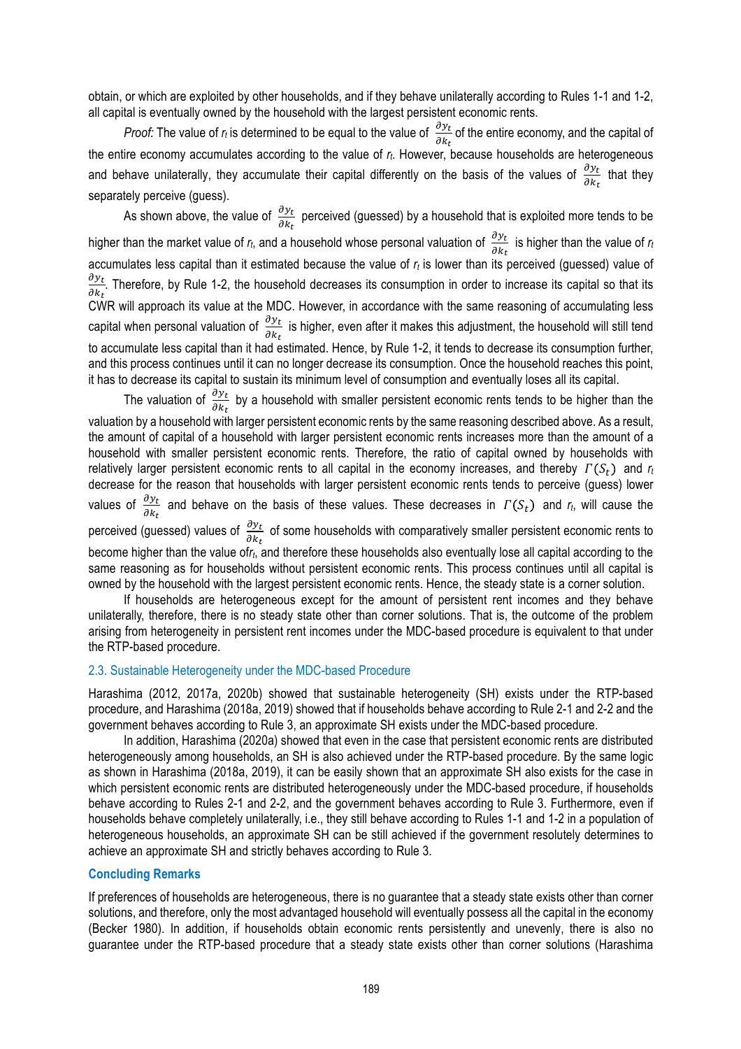obtain, or which are exploited by other households, and if they behave unilaterally according to Rules 1-1 and 1-2, all capital is eventually owned by the household with the largest persistent economic rents.

*Proof:* The value of  $r_t$  is determined to be equal to the value of  $\frac{\partial y_t}{\partial k_t}$  of the entire economy, and the capital of the entire economy accumulates according to the value of *rt*. However, because households are heterogeneous and behave unilaterally, they accumulate their capital differently on the basis of the values of  $\frac{\partial y_t}{\partial k_t}$  that they separately perceive (guess).

As shown above, the value of  $\frac{\partial y_t}{\partial k_t}$  perceived (guessed) by a household that is exploited more tends to be higher than the market value of  $r_t$ , and a household whose personal valuation of  $\frac{\partial y_t}{\partial k_t}$  is higher than the value of  $r_t$ accumulates less capital than it estimated because the value of  $r_t$  is lower than its perceived (guessed) value of  $\partial y_t$  $\frac{\partial y_t}{\partial k_t}$ . Therefore, by Rule 1-2, the household decreases its consumption in order to increase its capital so that its CWR will approach its value at the MDC. However, in accordance with the same reasoning of accumulating less capital when personal valuation of  $\frac{\partial y_t}{\partial k_t}$  is higher, even after it makes this adjustment, the household will still tend to accumulate less capital than it had estimated. Hence, by Rule 1-2, it tends to decrease its consumption further, and this process continues until it can no longer decrease its consumption. Once the household reaches this point, it has to decrease its capital to sustain its minimum level of consumption and eventually loses all its capital.

The valuation of  $\frac{\partial y_t}{\partial k_t}$  by a household with smaller persistent economic rents tends to be higher than the valuation by a household with larger persistent economic rents by the same reasoning described above. As a result, the amount of capital of a household with larger persistent economic rents increases more than the amount of a household with smaller persistent economic rents. Therefore, the ratio of capital owned by households with relatively larger persistent economic rents to all capital in the economy increases, and thereby  $\Gamma(S_t)$  and  $r_t$ decrease for the reason that households with larger persistent economic rents tends to perceive (guess) lower values of  $\frac{\partial y_t}{\partial k_t}$  and behave on the basis of these values. These decreases in  $\Gamma(S_t)$  and  $r_t$ , will cause the perceived (guessed) values of  $\frac{\partial y_t}{\partial k_t}$  of some households with comparatively smaller persistent economic rents to become higher than the value of*rt*, and therefore these households also eventually lose all capital according to the same reasoning as for households without persistent economic rents. This process continues until all capital is owned by the household with the largest persistent economic rents. Hence, the steady state is a corner solution.

If households are heterogeneous except for the amount of persistent rent incomes and they behave unilaterally, therefore, there is no steady state other than corner solutions. That is, the outcome of the problem arising from heterogeneity in persistent rent incomes under the MDC-based procedure is equivalent to that under the RTP-based procedure.

#### 2.3. Sustainable Heterogeneity under the MDC-based Procedure

Harashima (2012, 2017a, 2020b) showed that sustainable heterogeneity (SH) exists under the RTP-based procedure, and Harashima (2018a, 2019) showed that if households behave according to Rule 2-1 and 2-2 and the government behaves according to Rule 3, an approximate SH exists under the MDC-based procedure.

In addition, Harashima (2020a) showed that even in the case that persistent economic rents are distributed heterogeneously among households, an SH is also achieved under the RTP-based procedure. By the same logic as shown in Harashima (2018a, 2019), it can be easily shown that an approximate SH also exists for the case in which persistent economic rents are distributed heterogeneously under the MDC-based procedure, if households behave according to Rules 2-1 and 2-2, and the government behaves according to Rule 3. Furthermore, even if households behave completely unilaterally, i.e., they still behave according to Rules 1-1 and 1-2 in a population of heterogeneous households, an approximate SH can be still achieved if the government resolutely determines to achieve an approximate SH and strictly behaves according to Rule 3.

#### **Concluding Remarks**

If preferences of households are heterogeneous, there is no guarantee that a steady state exists other than corner solutions, and therefore, only the most advantaged household will eventually possess all the capital in the economy (Becker 1980). In addition, if households obtain economic rents persistently and unevenly, there is also no guarantee under the RTP-based procedure that a steady state exists other than corner solutions (Harashima